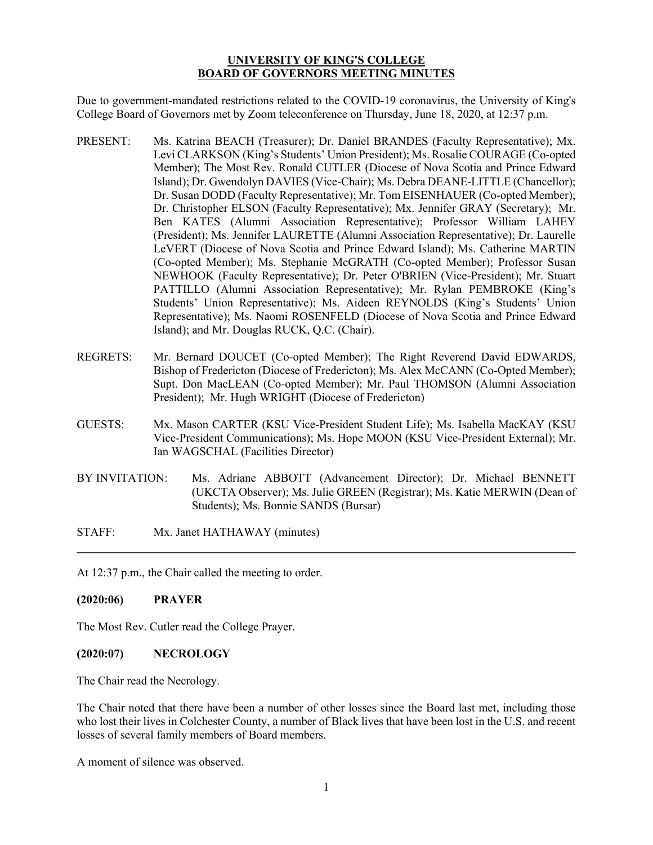#### **UNIVERSITY OF KING'S COLLEGE BOARD OF GOVERNORS MEETING MINUTES**

Due to government-mandated restrictions related to the COVID-19 coronavirus, the University of King's College Board of Governors met by Zoom teleconference on Thursday, June 18, 2020, at 12:37 p.m.

- PRESENT: Ms. Katrina BEACH (Treasurer); Dr. Daniel BRANDES (Faculty Representative); Mx. Levi CLARKSON (King's Students' Union President); Ms. Rosalie COURAGE (Co-opted Member); The Most Rev. Ronald CUTLER (Diocese of Nova Scotia and Prince Edward Island); Dr. Gwendolyn DAVIES (Vice-Chair); Ms. Debra DEANE-LITTLE (Chancellor); Dr. Susan DODD (Faculty Representative); Mr. Tom EISENHAUER (Co-opted Member); Dr. Christopher ELSON (Faculty Representative); Mx. Jennifer GRAY (Secretary); Mr. Ben KATES (Alumni Association Representative); Professor William LAHEY (President); Ms. Jennifer LAURETTE (Alumni Association Representative); Dr. Laurelle LeVERT (Diocese of Nova Scotia and Prince Edward Island); Ms. Catherine MARTIN (Co-opted Member); Ms. Stephanie McGRATH (Co-opted Member); Professor Susan NEWHOOK (Faculty Representative); Dr. Peter O'BRIEN (Vice-President); Mr. Stuart PATTILLO (Alumni Association Representative); Mr. Rylan PEMBROKE (King's Students' Union Representative); Ms. Aideen REYNOLDS (King's Students' Union Representative); Ms. Naomi ROSENFELD (Diocese of Nova Scotia and Prince Edward Island); and Mr. Douglas RUCK, Q.C. (Chair).
- REGRETS: Mr. Bernard DOUCET (Co-opted Member); The Right Reverend David EDWARDS, Bishop of Fredericton (Diocese of Fredericton); Ms. Alex McCANN (Co-Opted Member); Supt. Don MacLEAN (Co-opted Member); Mr. Paul THOMSON (Alumni Association President); Mr. Hugh WRIGHT (Diocese of Fredericton)
- GUESTS: Mx. Mason CARTER (KSU Vice-President Student Life); Ms. Isabella MacKAY (KSU Vice-President Communications); Ms. Hope MOON (KSU Vice-President External); Mr. Ian WAGSCHAL (Facilities Director)
- BY INVITATION: Ms. Adriane ABBOTT (Advancement Director); Dr. Michael BENNETT (UKCTA Observer); Ms. Julie GREEN (Registrar); Ms. Katie MERWIN (Dean of Students); Ms. Bonnie SANDS (Bursar)
- STAFF: Mx. Janet HATHAWAY (minutes)

At 12:37 p.m., the Chair called the meeting to order.

#### **(2020:06) PRAYER**

The Most Rev. Cutler read the College Prayer.

#### **(2020:07) NECROLOGY**

The Chair read the Necrology.

The Chair noted that there have been a number of other losses since the Board last met, including those who lost their lives in Colchester County, a number of Black lives that have been lost in the U.S. and recent losses of several family members of Board members.

A moment of silence was observed.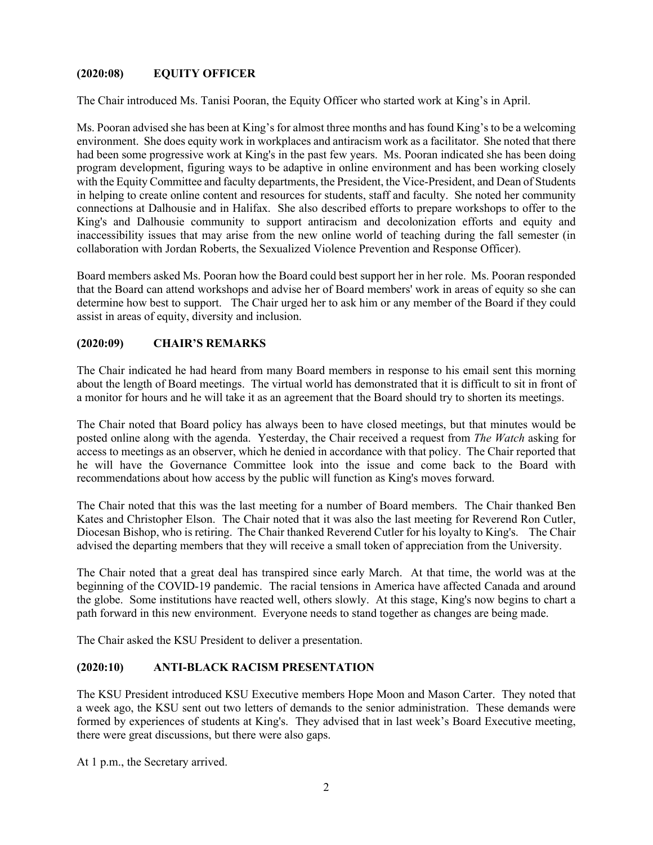# **(2020:08) EQUITY OFFICER**

The Chair introduced Ms. Tanisi Pooran, the Equity Officer who started work at King's in April.

Ms. Pooran advised she has been at King's for almost three months and has found King's to be a welcoming environment. She does equity work in workplaces and antiracism work as a facilitator. She noted that there had been some progressive work at King's in the past few years. Ms. Pooran indicated she has been doing program development, figuring ways to be adaptive in online environment and has been working closely with the Equity Committee and faculty departments, the President, the Vice-President, and Dean of Students in helping to create online content and resources for students, staff and faculty. She noted her community connections at Dalhousie and in Halifax. She also described efforts to prepare workshops to offer to the King's and Dalhousie community to support antiracism and decolonization efforts and equity and inaccessibility issues that may arise from the new online world of teaching during the fall semester (in collaboration with Jordan Roberts, the Sexualized Violence Prevention and Response Officer).

Board members asked Ms. Pooran how the Board could best support her in her role. Ms. Pooran responded that the Board can attend workshops and advise her of Board members' work in areas of equity so she can determine how best to support. The Chair urged her to ask him or any member of the Board if they could assist in areas of equity, diversity and inclusion.

# **(2020:09) CHAIR'S REMARKS**

The Chair indicated he had heard from many Board members in response to his email sent this morning about the length of Board meetings. The virtual world has demonstrated that it is difficult to sit in front of a monitor for hours and he will take it as an agreement that the Board should try to shorten its meetings.

The Chair noted that Board policy has always been to have closed meetings, but that minutes would be posted online along with the agenda. Yesterday, the Chair received a request from *The Watch* asking for access to meetings as an observer, which he denied in accordance with that policy. The Chair reported that he will have the Governance Committee look into the issue and come back to the Board with recommendations about how access by the public will function as King's moves forward.

The Chair noted that this was the last meeting for a number of Board members. The Chair thanked Ben Kates and Christopher Elson. The Chair noted that it was also the last meeting for Reverend Ron Cutler, Diocesan Bishop, who is retiring. The Chair thanked Reverend Cutler for his loyalty to King's. The Chair advised the departing members that they will receive a small token of appreciation from the University.

The Chair noted that a great deal has transpired since early March. At that time, the world was at the beginning of the COVID-19 pandemic. The racial tensions in America have affected Canada and around the globe. Some institutions have reacted well, others slowly. At this stage, King's now begins to chart a path forward in this new environment. Everyone needs to stand together as changes are being made.

The Chair asked the KSU President to deliver a presentation.

#### **(2020:10) ANTI-BLACK RACISM PRESENTATION**

The KSU President introduced KSU Executive members Hope Moon and Mason Carter. They noted that a week ago, the KSU sent out two letters of demands to the senior administration. These demands were formed by experiences of students at King's. They advised that in last week's Board Executive meeting, there were great discussions, but there were also gaps.

At 1 p.m., the Secretary arrived.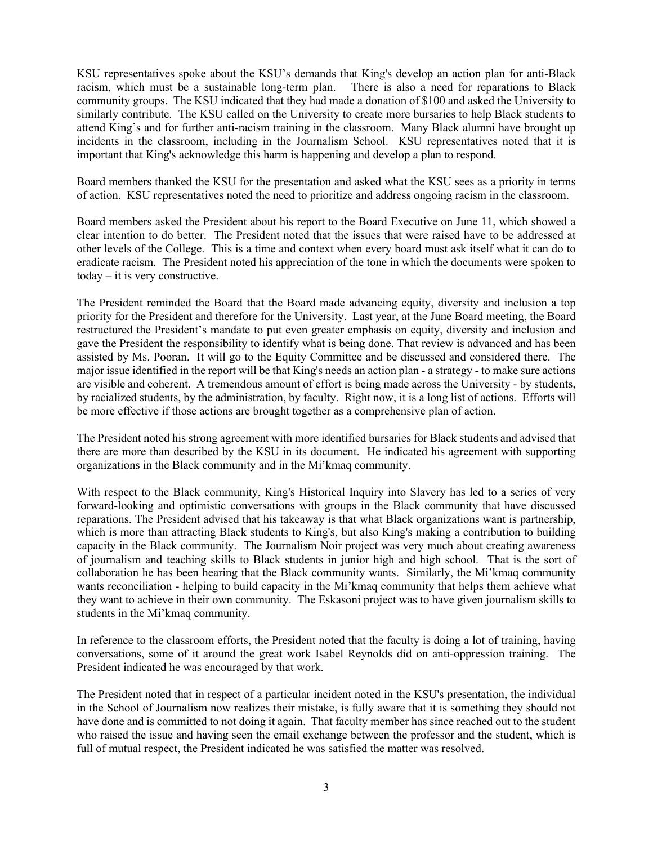KSU representatives spoke about the KSU's demands that King's develop an action plan for anti-Black racism, which must be a sustainable long-term plan. There is also a need for reparations to Black community groups. The KSU indicated that they had made a donation of \$100 and asked the University to similarly contribute. The KSU called on the University to create more bursaries to help Black students to attend King's and for further anti-racism training in the classroom. Many Black alumni have brought up incidents in the classroom, including in the Journalism School. KSU representatives noted that it is important that King's acknowledge this harm is happening and develop a plan to respond.

Board members thanked the KSU for the presentation and asked what the KSU sees as a priority in terms of action. KSU representatives noted the need to prioritize and address ongoing racism in the classroom.

Board members asked the President about his report to the Board Executive on June 11, which showed a clear intention to do better. The President noted that the issues that were raised have to be addressed at other levels of the College. This is a time and context when every board must ask itself what it can do to eradicate racism. The President noted his appreciation of the tone in which the documents were spoken to today – it is very constructive.

The President reminded the Board that the Board made advancing equity, diversity and inclusion a top priority for the President and therefore for the University. Last year, at the June Board meeting, the Board restructured the President's mandate to put even greater emphasis on equity, diversity and inclusion and gave the President the responsibility to identify what is being done. That review is advanced and has been assisted by Ms. Pooran. It will go to the Equity Committee and be discussed and considered there. The major issue identified in the report will be that King's needs an action plan - a strategy - to make sure actions are visible and coherent. A tremendous amount of effort is being made across the University - by students, by racialized students, by the administration, by faculty. Right now, it is a long list of actions. Efforts will be more effective if those actions are brought together as a comprehensive plan of action.

The President noted his strong agreement with more identified bursaries for Black students and advised that there are more than described by the KSU in its document. He indicated his agreement with supporting organizations in the Black community and in the Mi'kmaq community.

With respect to the Black community, King's Historical Inquiry into Slavery has led to a series of very forward-looking and optimistic conversations with groups in the Black community that have discussed reparations. The President advised that his takeaway is that what Black organizations want is partnership, which is more than attracting Black students to King's, but also King's making a contribution to building capacity in the Black community. The Journalism Noir project was very much about creating awareness of journalism and teaching skills to Black students in junior high and high school. That is the sort of collaboration he has been hearing that the Black community wants. Similarly, the Mi'kmaq community wants reconciliation - helping to build capacity in the Mi'kmaq community that helps them achieve what they want to achieve in their own community. The Eskasoni project was to have given journalism skills to students in the Mi'kmaq community.

In reference to the classroom efforts, the President noted that the faculty is doing a lot of training, having conversations, some of it around the great work Isabel Reynolds did on anti-oppression training. The President indicated he was encouraged by that work.

The President noted that in respect of a particular incident noted in the KSU's presentation, the individual in the School of Journalism now realizes their mistake, is fully aware that it is something they should not have done and is committed to not doing it again. That faculty member has since reached out to the student who raised the issue and having seen the email exchange between the professor and the student, which is full of mutual respect, the President indicated he was satisfied the matter was resolved.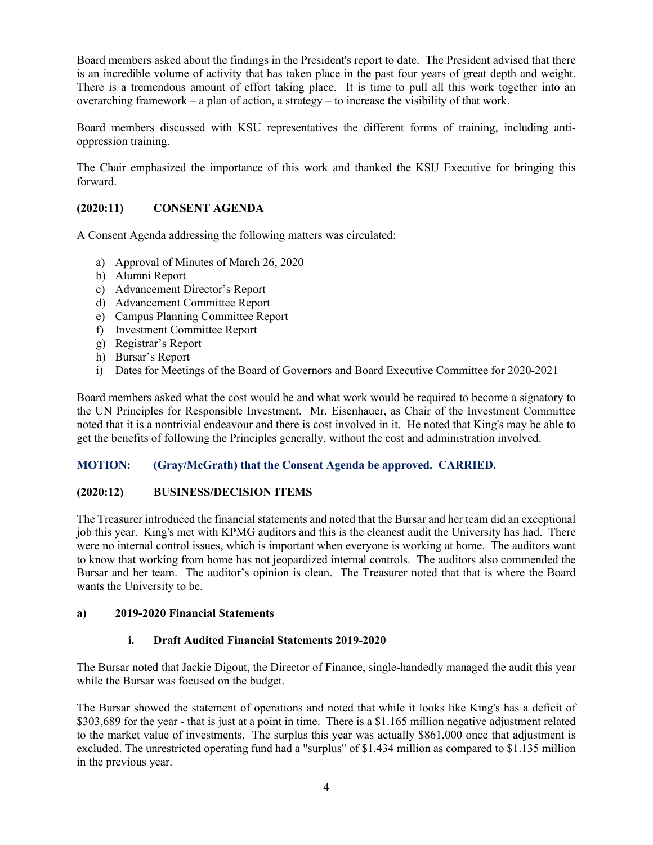Board members asked about the findings in the President's report to date. The President advised that there is an incredible volume of activity that has taken place in the past four years of great depth and weight. There is a tremendous amount of effort taking place. It is time to pull all this work together into an overarching framework – a plan of action, a strategy – to increase the visibility of that work.

Board members discussed with KSU representatives the different forms of training, including antioppression training.

The Chair emphasized the importance of this work and thanked the KSU Executive for bringing this forward.

# **(2020:11) CONSENT AGENDA**

A Consent Agenda addressing the following matters was circulated:

- a) Approval of Minutes of March 26, 2020
- b) Alumni Report
- c) Advancement Director's Report
- d) Advancement Committee Report
- e) Campus Planning Committee Report
- f) Investment Committee Report
- g) Registrar's Report
- h) Bursar's Report
- i) Dates for Meetings of the Board of Governors and Board Executive Committee for 2020-2021

Board members asked what the cost would be and what work would be required to become a signatory to the UN Principles for Responsible Investment. Mr. Eisenhauer, as Chair of the Investment Committee noted that it is a nontrivial endeavour and there is cost involved in it. He noted that King's may be able to get the benefits of following the Principles generally, without the cost and administration involved.

#### **MOTION: (Gray/McGrath) that the Consent Agenda be approved. CARRIED.**

#### **(2020:12) BUSINESS/DECISION ITEMS**

The Treasurer introduced the financial statements and noted that the Bursar and her team did an exceptional job this year. King's met with KPMG auditors and this is the cleanest audit the University has had. There were no internal control issues, which is important when everyone is working at home. The auditors want to know that working from home has not jeopardized internal controls. The auditors also commended the Bursar and her team. The auditor's opinion is clean. The Treasurer noted that that is where the Board wants the University to be.

#### **a) 2019-2020 Financial Statements**

#### **i. Draft Audited Financial Statements 2019-2020**

The Bursar noted that Jackie Digout, the Director of Finance, single-handedly managed the audit this year while the Bursar was focused on the budget.

The Bursar showed the statement of operations and noted that while it looks like King's has a deficit of \$303,689 for the year - that is just at a point in time. There is a \$1.165 million negative adjustment related to the market value of investments. The surplus this year was actually \$861,000 once that adjustment is excluded. The unrestricted operating fund had a "surplus" of \$1.434 million as compared to \$1.135 million in the previous year.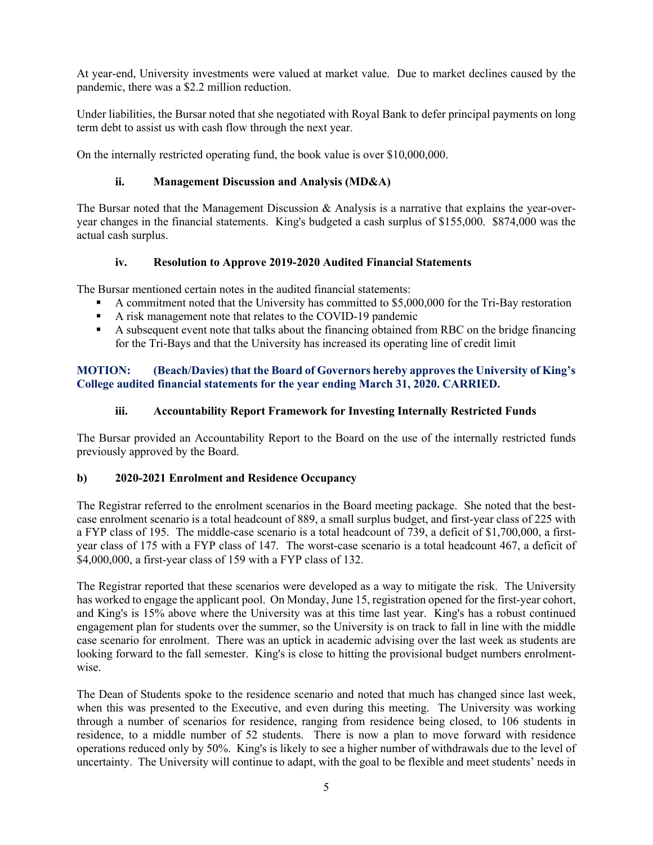At year-end, University investments were valued at market value. Due to market declines caused by the pandemic, there was a \$2.2 million reduction.

Under liabilities, the Bursar noted that she negotiated with Royal Bank to defer principal payments on long term debt to assist us with cash flow through the next year.

On the internally restricted operating fund, the book value is over \$10,000,000.

## **ii. Management Discussion and Analysis (MD&A)**

The Bursar noted that the Management Discussion & Analysis is a narrative that explains the year-overyear changes in the financial statements. King's budgeted a cash surplus of \$155,000. \$874,000 was the actual cash surplus.

### **iv. Resolution to Approve 2019-2020 Audited Financial Statements**

The Bursar mentioned certain notes in the audited financial statements:

- § A commitment noted that the University has committed to \$5,000,000 for the Tri-Bay restoration
- § A risk management note that relates to the COVID-19 pandemic
- § A subsequent event note that talks about the financing obtained from RBC on the bridge financing for the Tri-Bays and that the University has increased its operating line of credit limit

### **MOTION: (Beach/Davies) that the Board of Governors hereby approves the University of King's College audited financial statements for the year ending March 31, 2020. CARRIED.**

# **iii. Accountability Report Framework for Investing Internally Restricted Funds**

The Bursar provided an Accountability Report to the Board on the use of the internally restricted funds previously approved by the Board.

# **b) 2020-2021 Enrolment and Residence Occupancy**

The Registrar referred to the enrolment scenarios in the Board meeting package. She noted that the bestcase enrolment scenario is a total headcount of 889, a small surplus budget, and first-year class of 225 with a FYP class of 195. The middle-case scenario is a total headcount of 739, a deficit of \$1,700,000, a firstyear class of 175 with a FYP class of 147. The worst-case scenario is a total headcount 467, a deficit of \$4,000,000, a first-year class of 159 with a FYP class of 132.

The Registrar reported that these scenarios were developed as a way to mitigate the risk. The University has worked to engage the applicant pool. On Monday, June 15, registration opened for the first-year cohort, and King's is 15% above where the University was at this time last year. King's has a robust continued engagement plan for students over the summer, so the University is on track to fall in line with the middle case scenario for enrolment. There was an uptick in academic advising over the last week as students are looking forward to the fall semester. King's is close to hitting the provisional budget numbers enrolmentwise.

The Dean of Students spoke to the residence scenario and noted that much has changed since last week, when this was presented to the Executive, and even during this meeting. The University was working through a number of scenarios for residence, ranging from residence being closed, to 106 students in residence, to a middle number of 52 students. There is now a plan to move forward with residence operations reduced only by 50%. King's is likely to see a higher number of withdrawals due to the level of uncertainty. The University will continue to adapt, with the goal to be flexible and meet students' needs in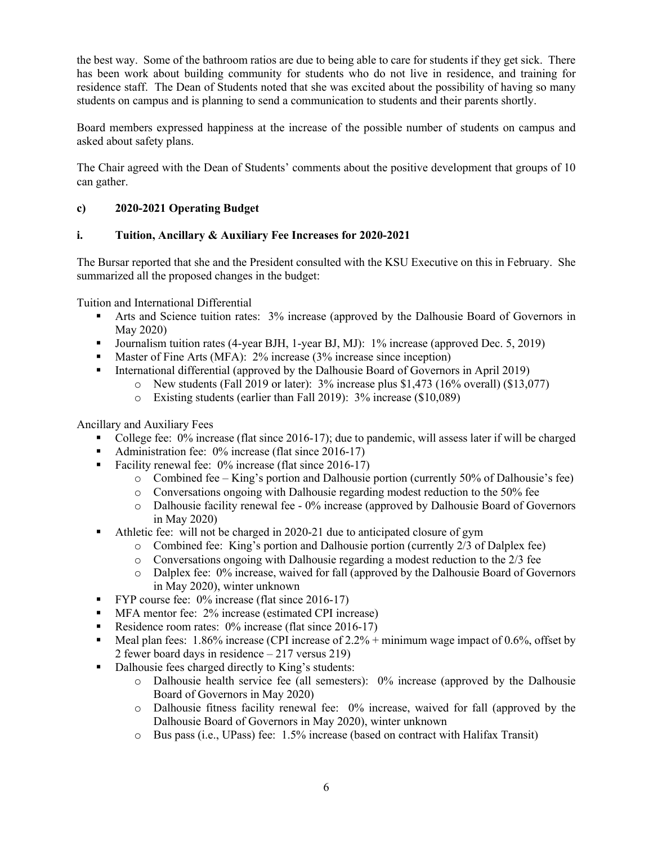the best way. Some of the bathroom ratios are due to being able to care for students if they get sick. There has been work about building community for students who do not live in residence, and training for residence staff. The Dean of Students noted that she was excited about the possibility of having so many students on campus and is planning to send a communication to students and their parents shortly.

Board members expressed happiness at the increase of the possible number of students on campus and asked about safety plans.

The Chair agreed with the Dean of Students' comments about the positive development that groups of 10 can gather.

# **c) 2020-2021 Operating Budget**

### **i. Tuition, Ancillary & Auxiliary Fee Increases for 2020-2021**

The Bursar reported that she and the President consulted with the KSU Executive on this in February. She summarized all the proposed changes in the budget:

Tuition and International Differential

- Arts and Science tuition rates: 3% increase (approved by the Dalhousie Board of Governors in May 2020)
- Journalism tuition rates (4-year BJH, 1-year BJ, MJ): 1% increase (approved Dec. 5, 2019)
- Master of Fine Arts (MFA): 2% increase (3% increase since inception)
- International differential (approved by the Dalhousie Board of Governors in April 2019)
	- $\circ$  New students (Fall 2019 or later): 3% increase plus \$1,473 (16% overall) (\$13,077)
		- o Existing students (earlier than Fall 2019): 3% increase (\$10,089)

Ancillary and Auxiliary Fees

- College fee: 0% increase (flat since 2016-17); due to pandemic, will assess later if will be charged
- Administration fee: 0% increase (flat since 2016-17)
- Facility renewal fee: 0% increase (flat since 2016-17)
	- o Combined fee King's portion and Dalhousie portion (currently 50% of Dalhousie's fee)
	- o Conversations ongoing with Dalhousie regarding modest reduction to the 50% fee
	- o Dalhousie facility renewal fee 0% increase (approved by Dalhousie Board of Governors in May 2020)
- § Athletic fee: will not be charged in 2020-21 due to anticipated closure of gym
	- o Combined fee: King's portion and Dalhousie portion (currently 2/3 of Dalplex fee)
	- $\circ$  Conversations ongoing with Dalhousie regarding a modest reduction to the 2/3 fee
	- o Dalplex fee: 0% increase, waived for fall (approved by the Dalhousie Board of Governors in May 2020), winter unknown
- **•** FYP course fee: 0% increase (flat since 2016-17)
- MFA mentor fee: 2% increase (estimated CPI increase)
- Residence room rates: 0% increase (flat since 2016-17)
- E Meal plan fees: 1.86% increase (CPI increase of  $2.2%$  + minimum wage impact of 0.6%, offset by 2 fewer board days in residence – 217 versus 219)
- Dalhousie fees charged directly to King's students:
	- $\circ$  Dalhousie health service fee (all semesters): 0% increase (approved by the Dalhousie Board of Governors in May 2020)
	- $\circ$  Dalhousie fitness facility renewal fee: 0% increase, waived for fall (approved by the Dalhousie Board of Governors in May 2020), winter unknown
	- o Bus pass (i.e., UPass) fee: 1.5% increase (based on contract with Halifax Transit)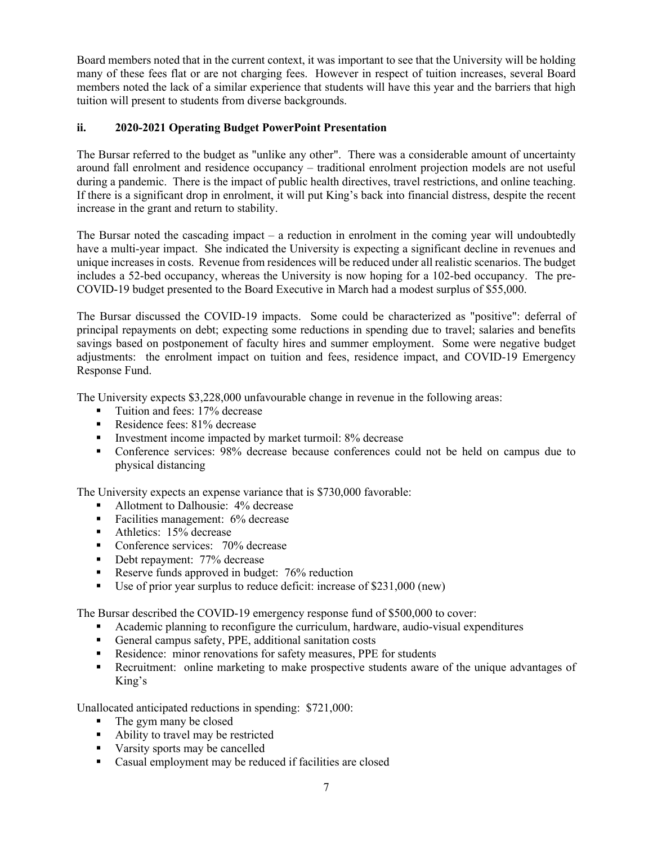Board members noted that in the current context, it was important to see that the University will be holding many of these fees flat or are not charging fees. However in respect of tuition increases, several Board members noted the lack of a similar experience that students will have this year and the barriers that high tuition will present to students from diverse backgrounds.

# **ii. 2020-2021 Operating Budget PowerPoint Presentation**

The Bursar referred to the budget as "unlike any other". There was a considerable amount of uncertainty around fall enrolment and residence occupancy – traditional enrolment projection models are not useful during a pandemic. There is the impact of public health directives, travel restrictions, and online teaching. If there is a significant drop in enrolment, it will put King's back into financial distress, despite the recent increase in the grant and return to stability.

The Bursar noted the cascading impact – a reduction in enrolment in the coming year will undoubtedly have a multi-year impact. She indicated the University is expecting a significant decline in revenues and unique increases in costs. Revenue from residences will be reduced under all realistic scenarios. The budget includes a 52-bed occupancy, whereas the University is now hoping for a 102-bed occupancy. The pre-COVID-19 budget presented to the Board Executive in March had a modest surplus of \$55,000.

The Bursar discussed the COVID-19 impacts. Some could be characterized as "positive": deferral of principal repayments on debt; expecting some reductions in spending due to travel; salaries and benefits savings based on postponement of faculty hires and summer employment. Some were negative budget adjustments: the enrolment impact on tuition and fees, residence impact, and COVID-19 Emergency Response Fund.

The University expects \$3,228,000 unfavourable change in revenue in the following areas:

- Tuition and fees: 17% decrease
- Residence fees: 81% decrease
- Investment income impacted by market turmoil: 8% decrease
- § Conference services: 98% decrease because conferences could not be held on campus due to physical distancing

The University expects an expense variance that is \$730,000 favorable:

- Allotment to Dalhousie: 4% decrease
- Facilities management: 6% decrease
- Athletics: 15% decrease
- Conference services: 70% decrease
- Debt repayment: 77% decrease
- Reserve funds approved in budget: 76% reduction
- Use of prior year surplus to reduce deficit: increase of \$231,000 (new)

The Bursar described the COVID-19 emergency response fund of \$500,000 to cover:

- Academic planning to reconfigure the curriculum, hardware, audio-visual expenditures
- General campus safety, PPE, additional sanitation costs
- Residence: minor renovations for safety measures, PPE for students
- **•** Recruitment: online marketing to make prospective students aware of the unique advantages of King's

Unallocated anticipated reductions in spending: \$721,000:

- The gym many be closed
- Ability to travel may be restricted
- Varsity sports may be cancelled
- § Casual employment may be reduced if facilities are closed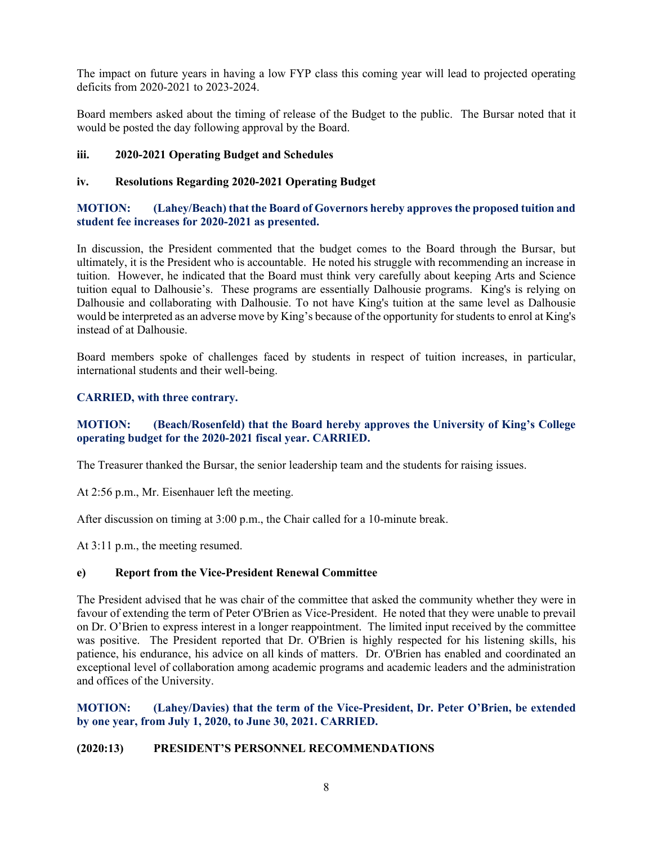The impact on future years in having a low FYP class this coming year will lead to projected operating deficits from 2020-2021 to 2023-2024.

Board members asked about the timing of release of the Budget to the public. The Bursar noted that it would be posted the day following approval by the Board.

#### **iii. 2020-2021 Operating Budget and Schedules**

#### **iv. Resolutions Regarding 2020-2021 Operating Budget**

### **MOTION: (Lahey/Beach) that the Board of Governors hereby approves the proposed tuition and student fee increases for 2020-2021 as presented.**

In discussion, the President commented that the budget comes to the Board through the Bursar, but ultimately, it is the President who is accountable. He noted his struggle with recommending an increase in tuition. However, he indicated that the Board must think very carefully about keeping Arts and Science tuition equal to Dalhousie's. These programs are essentially Dalhousie programs. King's is relying on Dalhousie and collaborating with Dalhousie. To not have King's tuition at the same level as Dalhousie would be interpreted as an adverse move by King's because of the opportunity for students to enrol at King's instead of at Dalhousie.

Board members spoke of challenges faced by students in respect of tuition increases, in particular, international students and their well-being.

#### **CARRIED, with three contrary.**

### **MOTION: (Beach/Rosenfeld) that the Board hereby approves the University of King's College operating budget for the 2020-2021 fiscal year. CARRIED.**

The Treasurer thanked the Bursar, the senior leadership team and the students for raising issues.

At 2:56 p.m., Mr. Eisenhauer left the meeting.

After discussion on timing at 3:00 p.m., the Chair called for a 10-minute break.

At 3:11 p.m., the meeting resumed.

#### **e) Report from the Vice-President Renewal Committee**

The President advised that he was chair of the committee that asked the community whether they were in favour of extending the term of Peter O'Brien as Vice-President. He noted that they were unable to prevail on Dr. O'Brien to express interest in a longer reappointment. The limited input received by the committee was positive. The President reported that Dr. O'Brien is highly respected for his listening skills, his patience, his endurance, his advice on all kinds of matters. Dr. O'Brien has enabled and coordinated an exceptional level of collaboration among academic programs and academic leaders and the administration and offices of the University.

### **MOTION: (Lahey/Davies) that the term of the Vice-President, Dr. Peter O'Brien, be extended by one year, from July 1, 2020, to June 30, 2021. CARRIED.**

### **(2020:13) PRESIDENT'S PERSONNEL RECOMMENDATIONS**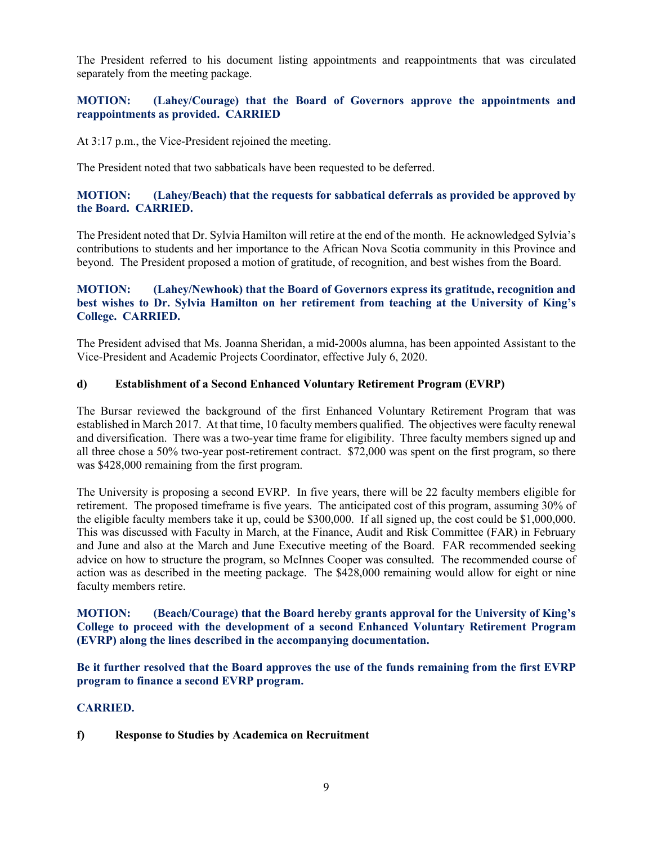The President referred to his document listing appointments and reappointments that was circulated separately from the meeting package.

### **MOTION: (Lahey/Courage) that the Board of Governors approve the appointments and reappointments as provided. CARRIED**

At 3:17 p.m., the Vice-President rejoined the meeting.

The President noted that two sabbaticals have been requested to be deferred.

#### **MOTION: (Lahey/Beach) that the requests for sabbatical deferrals as provided be approved by the Board. CARRIED.**

The President noted that Dr. Sylvia Hamilton will retire at the end of the month. He acknowledged Sylvia's contributions to students and her importance to the African Nova Scotia community in this Province and beyond. The President proposed a motion of gratitude, of recognition, and best wishes from the Board.

### **MOTION: (Lahey/Newhook) that the Board of Governors express its gratitude, recognition and best wishes to Dr. Sylvia Hamilton on her retirement from teaching at the University of King's College. CARRIED.**

The President advised that Ms. Joanna Sheridan, a mid-2000s alumna, has been appointed Assistant to the Vice-President and Academic Projects Coordinator, effective July 6, 2020.

#### **d) Establishment of a Second Enhanced Voluntary Retirement Program (EVRP)**

The Bursar reviewed the background of the first Enhanced Voluntary Retirement Program that was established in March 2017. At that time, 10 faculty members qualified. The objectives were faculty renewal and diversification. There was a two-year time frame for eligibility. Three faculty members signed up and all three chose a 50% two-year post-retirement contract. \$72,000 was spent on the first program, so there was \$428,000 remaining from the first program.

The University is proposing a second EVRP. In five years, there will be 22 faculty members eligible for retirement. The proposed timeframe is five years. The anticipated cost of this program, assuming 30% of the eligible faculty members take it up, could be \$300,000. If all signed up, the cost could be \$1,000,000. This was discussed with Faculty in March, at the Finance, Audit and Risk Committee (FAR) in February and June and also at the March and June Executive meeting of the Board. FAR recommended seeking advice on how to structure the program, so McInnes Cooper was consulted. The recommended course of action was as described in the meeting package. The \$428,000 remaining would allow for eight or nine faculty members retire.

**MOTION: (Beach/Courage) that the Board hereby grants approval for the University of King's College to proceed with the development of a second Enhanced Voluntary Retirement Program (EVRP) along the lines described in the accompanying documentation.**

**Be it further resolved that the Board approves the use of the funds remaining from the first EVRP program to finance a second EVRP program.**

#### **CARRIED.**

**f) Response to Studies by Academica on Recruitment**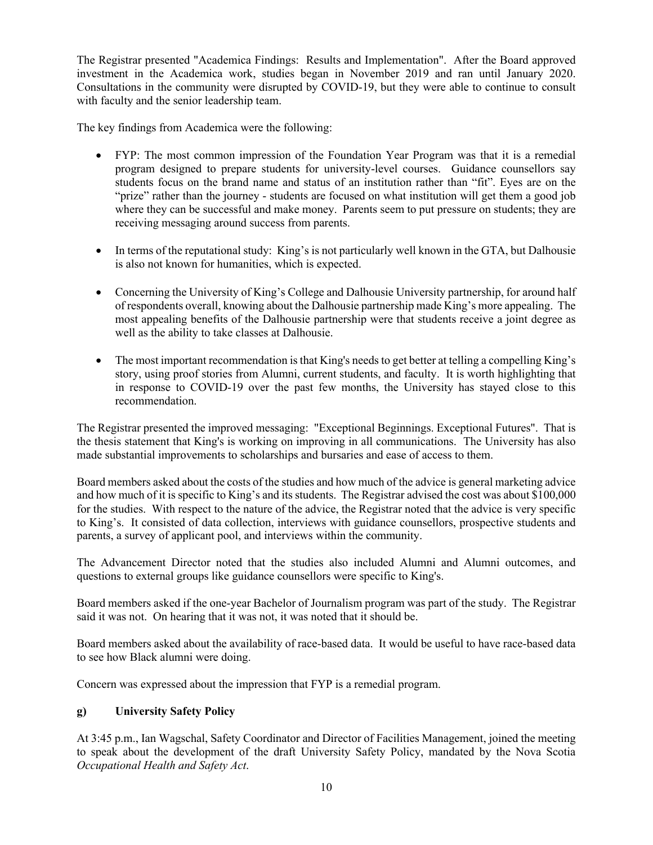The Registrar presented "Academica Findings: Results and Implementation". After the Board approved investment in the Academica work, studies began in November 2019 and ran until January 2020. Consultations in the community were disrupted by COVID-19, but they were able to continue to consult with faculty and the senior leadership team.

The key findings from Academica were the following:

- FYP: The most common impression of the Foundation Year Program was that it is a remedial program designed to prepare students for university-level courses. Guidance counsellors say students focus on the brand name and status of an institution rather than "fit". Eyes are on the "prize" rather than the journey - students are focused on what institution will get them a good job where they can be successful and make money. Parents seem to put pressure on students; they are receiving messaging around success from parents.
- In terms of the reputational study: King's is not particularly well known in the GTA, but Dalhousie is also not known for humanities, which is expected.
- Concerning the University of King's College and Dalhousie University partnership, for around half of respondents overall, knowing about the Dalhousie partnership made King's more appealing. The most appealing benefits of the Dalhousie partnership were that students receive a joint degree as well as the ability to take classes at Dalhousie.
- The most important recommendation is that King's needs to get better at telling a compelling King's story, using proof stories from Alumni, current students, and faculty. It is worth highlighting that in response to COVID-19 over the past few months, the University has stayed close to this recommendation.

The Registrar presented the improved messaging: "Exceptional Beginnings. Exceptional Futures". That is the thesis statement that King's is working on improving in all communications. The University has also made substantial improvements to scholarships and bursaries and ease of access to them.

Board members asked about the costs of the studies and how much of the advice is general marketing advice and how much of it is specific to King's and its students. The Registrar advised the cost was about \$100,000 for the studies. With respect to the nature of the advice, the Registrar noted that the advice is very specific to King's. It consisted of data collection, interviews with guidance counsellors, prospective students and parents, a survey of applicant pool, and interviews within the community.

The Advancement Director noted that the studies also included Alumni and Alumni outcomes, and questions to external groups like guidance counsellors were specific to King's.

Board members asked if the one-year Bachelor of Journalism program was part of the study. The Registrar said it was not. On hearing that it was not, it was noted that it should be.

Board members asked about the availability of race-based data. It would be useful to have race-based data to see how Black alumni were doing.

Concern was expressed about the impression that FYP is a remedial program.

# **g) University Safety Policy**

At 3:45 p.m., Ian Wagschal, Safety Coordinator and Director of Facilities Management, joined the meeting to speak about the development of the draft University Safety Policy, mandated by the Nova Scotia *Occupational Health and Safety Act*.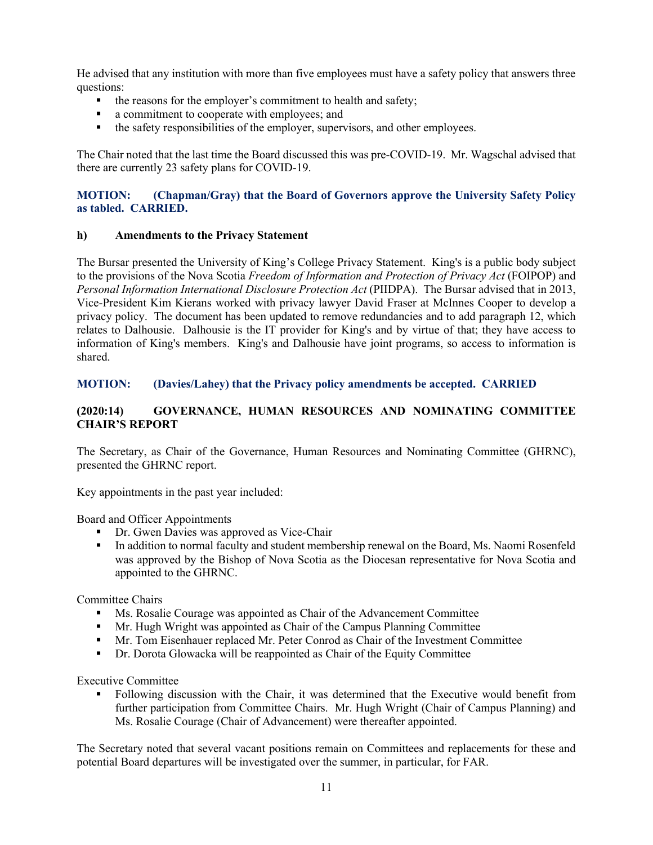He advised that any institution with more than five employees must have a safety policy that answers three questions:

- the reasons for the employer's commitment to health and safety;
- a commitment to cooperate with employees; and
- the safety responsibilities of the employer, supervisors, and other employees.

The Chair noted that the last time the Board discussed this was pre-COVID-19. Mr. Wagschal advised that there are currently 23 safety plans for COVID-19.

### **MOTION: (Chapman/Gray) that the Board of Governors approve the University Safety Policy as tabled. CARRIED.**

#### **h) Amendments to the Privacy Statement**

The Bursar presented the University of King's College Privacy Statement. King's is a public body subject to the provisions of the Nova Scotia *Freedom of Information and Protection of Privacy Act* (FOIPOP) and *Personal Information International Disclosure Protection Act* (PIIDPA). The Bursar advised that in 2013, Vice-President Kim Kierans worked with privacy lawyer David Fraser at McInnes Cooper to develop a privacy policy. The document has been updated to remove redundancies and to add paragraph 12, which relates to Dalhousie. Dalhousie is the IT provider for King's and by virtue of that; they have access to information of King's members. King's and Dalhousie have joint programs, so access to information is shared.

#### **MOTION: (Davies/Lahey) that the Privacy policy amendments be accepted. CARRIED**

### **(2020:14) GOVERNANCE, HUMAN RESOURCES AND NOMINATING COMMITTEE CHAIR'S REPORT**

The Secretary, as Chair of the Governance, Human Resources and Nominating Committee (GHRNC), presented the GHRNC report.

Key appointments in the past year included:

Board and Officer Appointments

- Dr. Gwen Davies was approved as Vice-Chair
- In addition to normal faculty and student membership renewal on the Board, Ms. Naomi Rosenfeld was approved by the Bishop of Nova Scotia as the Diocesan representative for Nova Scotia and appointed to the GHRNC.

Committee Chairs

- § Ms. Rosalie Courage was appointed as Chair of the Advancement Committee
- Mr. Hugh Wright was appointed as Chair of the Campus Planning Committee
- § Mr. Tom Eisenhauer replaced Mr. Peter Conrod as Chair of the Investment Committee
- Dr. Dorota Glowacka will be reappointed as Chair of the Equity Committee

Executive Committee

Following discussion with the Chair, it was determined that the Executive would benefit from further participation from Committee Chairs. Mr. Hugh Wright (Chair of Campus Planning) and Ms. Rosalie Courage (Chair of Advancement) were thereafter appointed.

The Secretary noted that several vacant positions remain on Committees and replacements for these and potential Board departures will be investigated over the summer, in particular, for FAR.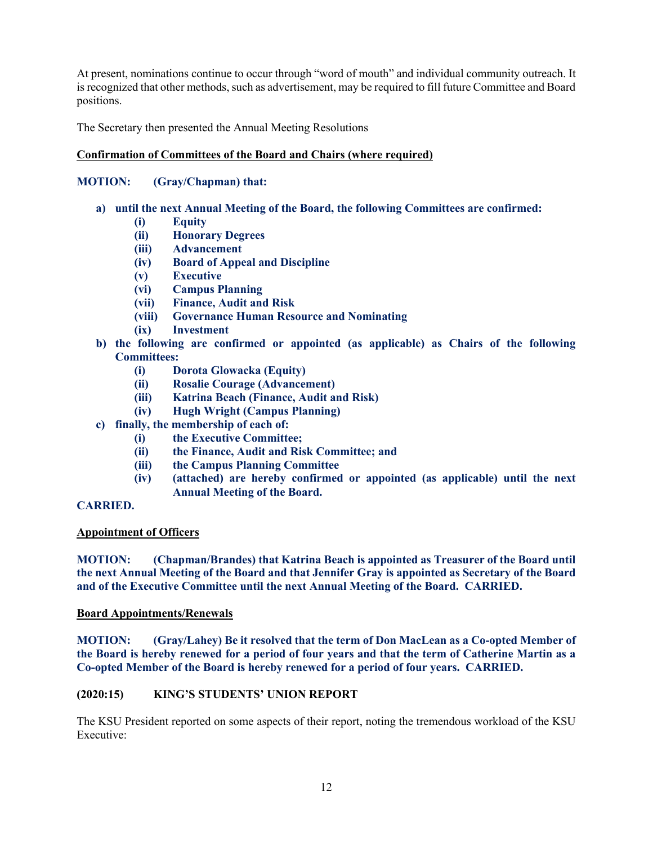At present, nominations continue to occur through "word of mouth" and individual community outreach. It is recognized that other methods, such as advertisement, may be required to fill future Committee and Board positions.

The Secretary then presented the Annual Meeting Resolutions

### **Confirmation of Committees of the Board and Chairs (where required)**

### **MOTION: (Gray/Chapman) that:**

- **a) until the next Annual Meeting of the Board, the following Committees are confirmed:**
	- **(i) Equity**
	- **(ii) Honorary Degrees**
	- **(iii) Advancement**
	- **(iv) Board of Appeal and Discipline**
	- **(v) Executive**
	- **(vi) Campus Planning**
	- **(vii) Finance, Audit and Risk**
	- **(viii) Governance Human Resource and Nominating**
	- **(ix) Investment**
- **b) the following are confirmed or appointed (as applicable) as Chairs of the following Committees:**
	- **(i) Dorota Glowacka (Equity)**
	- **(ii) Rosalie Courage (Advancement)**
	- **(iii) Katrina Beach (Finance, Audit and Risk)**
	- **(iv) Hugh Wright (Campus Planning)**
- **c) finally, the membership of each of:**
	- **(i) the Executive Committee;**
	- **(ii) the Finance, Audit and Risk Committee; and**
	- **(iii) the Campus Planning Committee**
	- **(iv) (attached) are hereby confirmed or appointed (as applicable) until the next Annual Meeting of the Board.**

# **CARRIED.**

#### **Appointment of Officers**

**MOTION: (Chapman/Brandes) that Katrina Beach is appointed as Treasurer of the Board until the next Annual Meeting of the Board and that Jennifer Gray is appointed as Secretary of the Board and of the Executive Committee until the next Annual Meeting of the Board. CARRIED.**

#### **Board Appointments/Renewals**

**MOTION: (Gray/Lahey) Be it resolved that the term of Don MacLean as a Co-opted Member of the Board is hereby renewed for a period of four years and that the term of Catherine Martin as a Co-opted Member of the Board is hereby renewed for a period of four years. CARRIED.**

#### **(2020:15) KING'S STUDENTS' UNION REPORT**

The KSU President reported on some aspects of their report, noting the tremendous workload of the KSU Executive: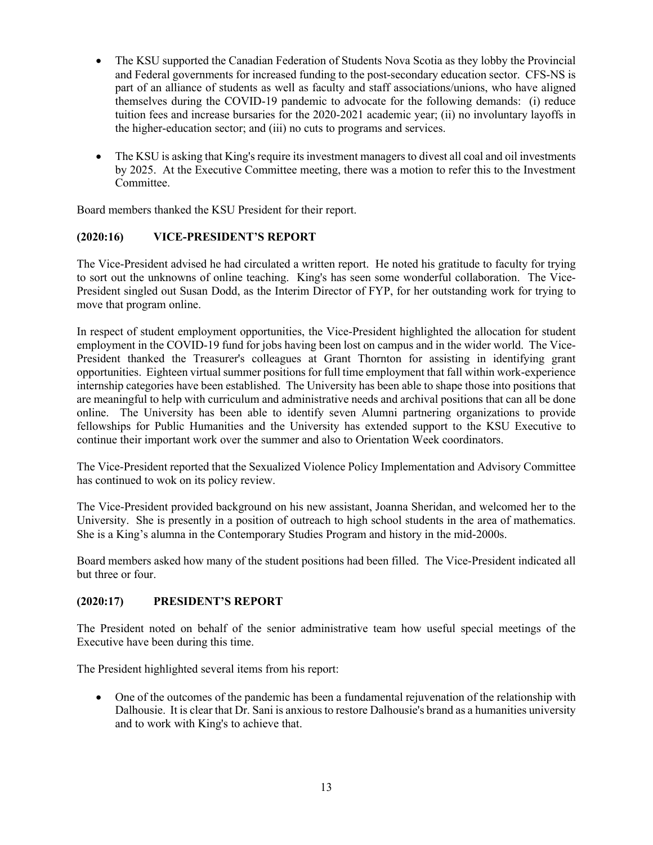- The KSU supported the Canadian Federation of Students Nova Scotia as they lobby the Provincial and Federal governments for increased funding to the post-secondary education sector. CFS-NS is part of an alliance of students as well as faculty and staff associations/unions, who have aligned themselves during the COVID-19 pandemic to advocate for the following demands: (i) reduce tuition fees and increase bursaries for the 2020-2021 academic year; (ii) no involuntary layoffs in the higher-education sector; and (iii) no cuts to programs and services.
- The KSU is asking that King's require its investment managers to divest all coal and oil investments by 2025. At the Executive Committee meeting, there was a motion to refer this to the Investment Committee.

Board members thanked the KSU President for their report.

### **(2020:16) VICE-PRESIDENT'S REPORT**

The Vice-President advised he had circulated a written report. He noted his gratitude to faculty for trying to sort out the unknowns of online teaching. King's has seen some wonderful collaboration. The Vice-President singled out Susan Dodd, as the Interim Director of FYP, for her outstanding work for trying to move that program online.

In respect of student employment opportunities, the Vice-President highlighted the allocation for student employment in the COVID-19 fund for jobs having been lost on campus and in the wider world. The Vice-President thanked the Treasurer's colleagues at Grant Thornton for assisting in identifying grant opportunities. Eighteen virtual summer positions for full time employment that fall within work-experience internship categories have been established. The University has been able to shape those into positions that are meaningful to help with curriculum and administrative needs and archival positions that can all be done online. The University has been able to identify seven Alumni partnering organizations to provide fellowships for Public Humanities and the University has extended support to the KSU Executive to continue their important work over the summer and also to Orientation Week coordinators.

The Vice-President reported that the Sexualized Violence Policy Implementation and Advisory Committee has continued to wok on its policy review.

The Vice-President provided background on his new assistant, Joanna Sheridan, and welcomed her to the University. She is presently in a position of outreach to high school students in the area of mathematics. She is a King's alumna in the Contemporary Studies Program and history in the mid-2000s.

Board members asked how many of the student positions had been filled. The Vice-President indicated all but three or four.

#### **(2020:17) PRESIDENT'S REPORT**

The President noted on behalf of the senior administrative team how useful special meetings of the Executive have been during this time.

The President highlighted several items from his report:

• One of the outcomes of the pandemic has been a fundamental rejuvenation of the relationship with Dalhousie. It is clear that Dr. Sani is anxious to restore Dalhousie's brand as a humanities university and to work with King's to achieve that.